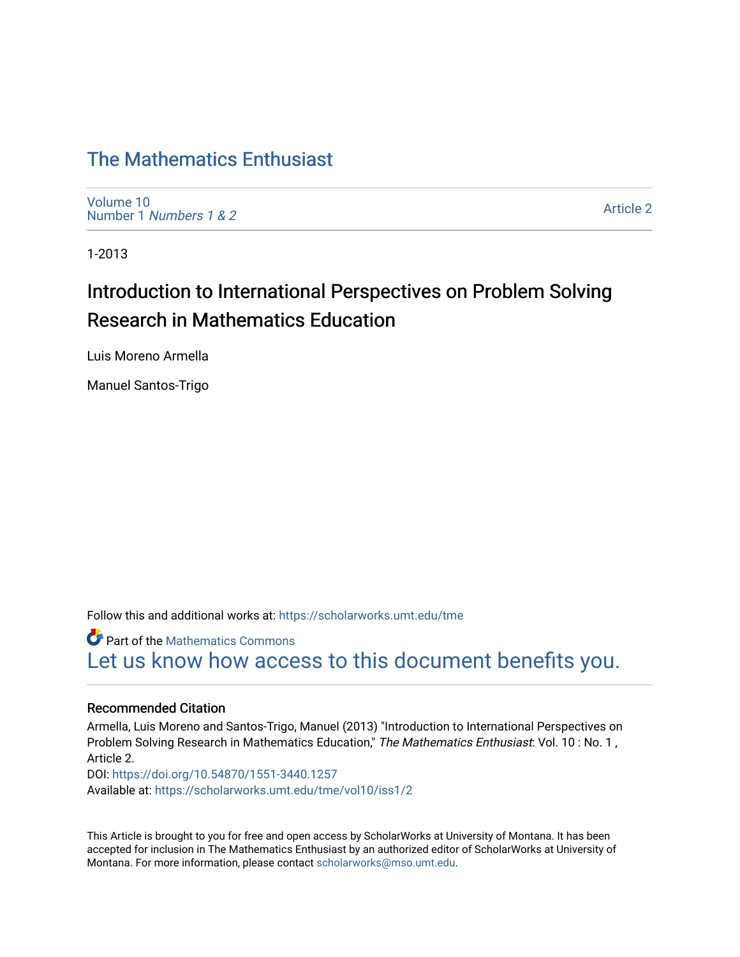## [The Mathematics Enthusiast](https://scholarworks.umt.edu/tme)

[Volume 10](https://scholarworks.umt.edu/tme/vol10) Number 1 [Numbers 1 & 2](https://scholarworks.umt.edu/tme/vol10/iss1)

[Article 2](https://scholarworks.umt.edu/tme/vol10/iss1/2) 

1-2013

## Introduction to International Perspectives on Problem Solving Research in Mathematics Education

Luis Moreno Armella

Manuel Santos-Trigo

Follow this and additional works at: [https://scholarworks.umt.edu/tme](https://scholarworks.umt.edu/tme?utm_source=scholarworks.umt.edu%2Ftme%2Fvol10%2Fiss1%2F2&utm_medium=PDF&utm_campaign=PDFCoverPages) 

**Part of the [Mathematics Commons](http://network.bepress.com/hgg/discipline/174?utm_source=scholarworks.umt.edu%2Ftme%2Fvol10%2Fiss1%2F2&utm_medium=PDF&utm_campaign=PDFCoverPages)** [Let us know how access to this document benefits you.](https://goo.gl/forms/s2rGfXOLzz71qgsB2) 

## Recommended Citation

Armella, Luis Moreno and Santos-Trigo, Manuel (2013) "Introduction to International Perspectives on Problem Solving Research in Mathematics Education," The Mathematics Enthusiast: Vol. 10 : No. 1, Article 2. DOI:<https://doi.org/10.54870/1551-3440.1257> Available at: [https://scholarworks.umt.edu/tme/vol10/iss1/2](https://scholarworks.umt.edu/tme/vol10/iss1/2?utm_source=scholarworks.umt.edu%2Ftme%2Fvol10%2Fiss1%2F2&utm_medium=PDF&utm_campaign=PDFCoverPages) 

This Article is brought to you for free and open access by ScholarWorks at University of Montana. It has been accepted for inclusion in The Mathematics Enthusiast by an authorized editor of ScholarWorks at University of Montana. For more information, please contact [scholarworks@mso.umt.edu.](mailto:scholarworks@mso.umt.edu)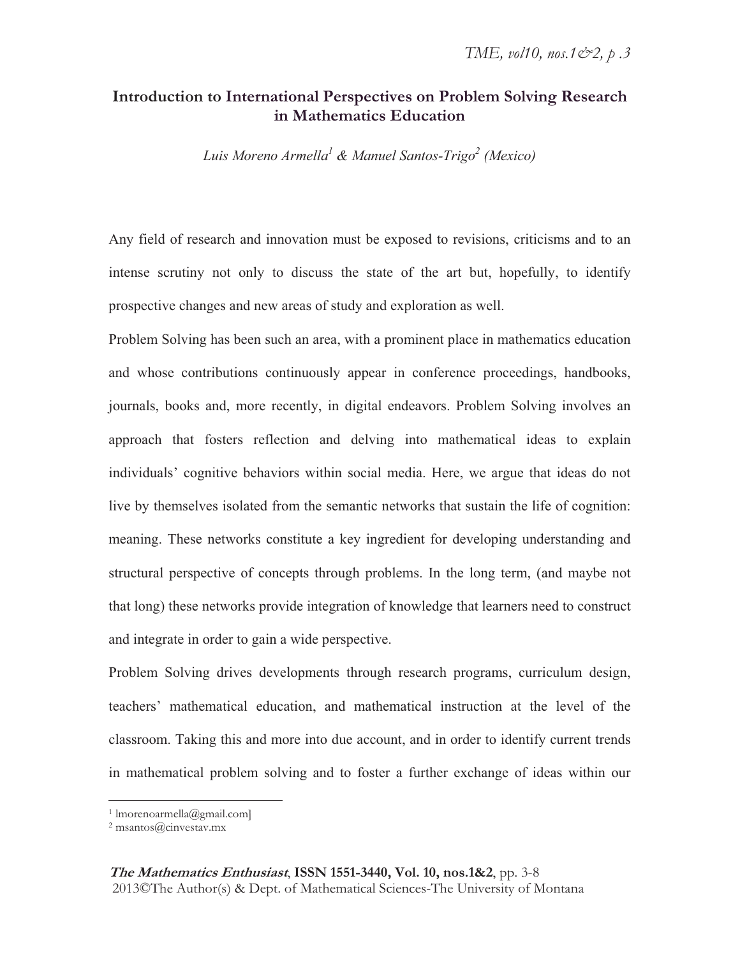## **Introduction to International Perspectives on Problem Solving Research in Mathematics Education**

*Luis Moreno Armella<sup>1</sup> & Manuel Santos-Trigo<sup>2</sup> (Mexico)*

Any field of research and innovation must be exposed to revisions, criticisms and to an intense scrutiny not only to discuss the state of the art but, hopefully, to identify prospective changes and new areas of study and exploration as well.

Problem Solving has been such an area, with a prominent place in mathematics education and whose contributions continuously appear in conference proceedings, handbooks, journals, books and, more recently, in digital endeavors. Problem Solving involves an approach that fosters reflection and delving into mathematical ideas to explain individuals' cognitive behaviors within social media. Here, we argue that ideas do not live by themselves isolated from the semantic networks that sustain the life of cognition: meaning. These networks constitute a key ingredient for developing understanding and structural perspective of concepts through problems. In the long term, (and maybe not that long) these networks provide integration of knowledge that learners need to construct and integrate in order to gain a wide perspective.

Problem Solving drives developments through research programs, curriculum design, teachers' mathematical education, and mathematical instruction at the level of the classroom. Taking this and more into due account, and in order to identify current trends in mathematical problem solving and to foster a further exchange of ideas within our

**The Mathematics Enthusiast**, **ISSN 1551-3440, Vol. 10, nos.1&2**, pp. 3-8 2013©The Author(s) & Dept. of Mathematical Sciences-The University of Montana

<sup>1</sup> lmorenoarmella@gmail.com]

<sup>2</sup> msantos@cinvestav.mx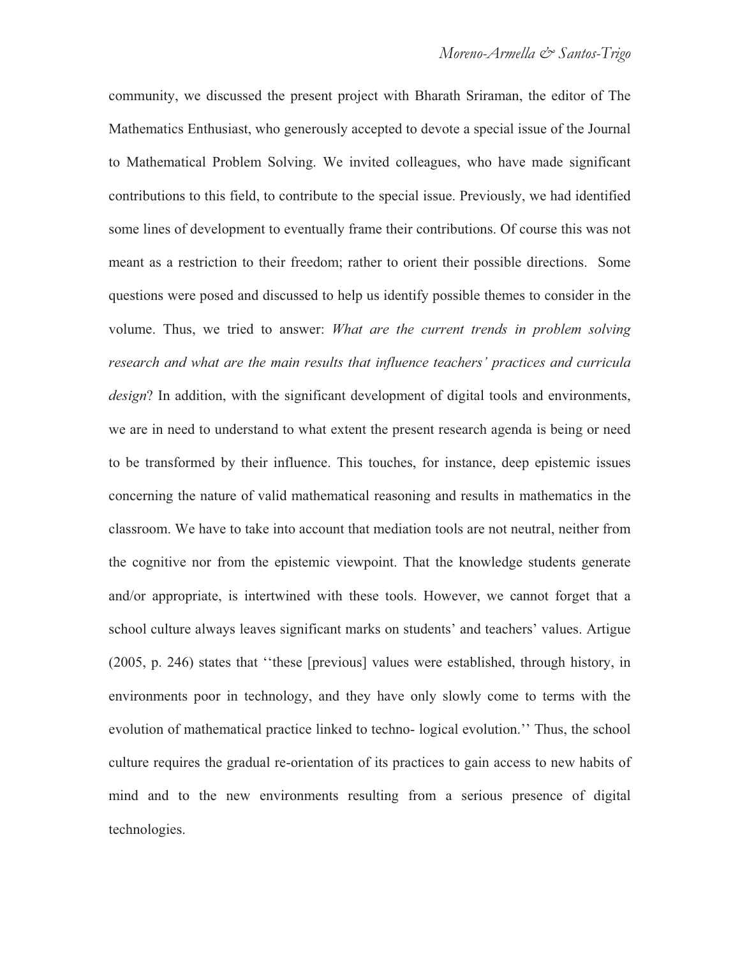community, we discussed the present project with Bharath Sriraman, the editor of The Mathematics Enthusiast, who generously accepted to devote a special issue of the Journal to Mathematical Problem Solving. We invited colleagues, who have made significant contributions to this field, to contribute to the special issue. Previously, we had identified some lines of development to eventually frame their contributions. Of course this was not meant as a restriction to their freedom; rather to orient their possible directions. Some questions were posed and discussed to help us identify possible themes to consider in the volume. Thus, we tried to answer: *What are the current trends in problem solving research and what are the main results that influence teachers' practices and curricula design*? In addition, with the significant development of digital tools and environments, we are in need to understand to what extent the present research agenda is being or need to be transformed by their influence. This touches, for instance, deep epistemic issues concerning the nature of valid mathematical reasoning and results in mathematics in the classroom. We have to take into account that mediation tools are not neutral, neither from the cognitive nor from the epistemic viewpoint. That the knowledge students generate and/or appropriate, is intertwined with these tools. However, we cannot forget that a school culture always leaves significant marks on students' and teachers' values. Artigue (2005, p. 246) states that ''these [previous] values were established, through history, in environments poor in technology, and they have only slowly come to terms with the evolution of mathematical practice linked to techno- logical evolution.'' Thus, the school culture requires the gradual re-orientation of its practices to gain access to new habits of mind and to the new environments resulting from a serious presence of digital technologies.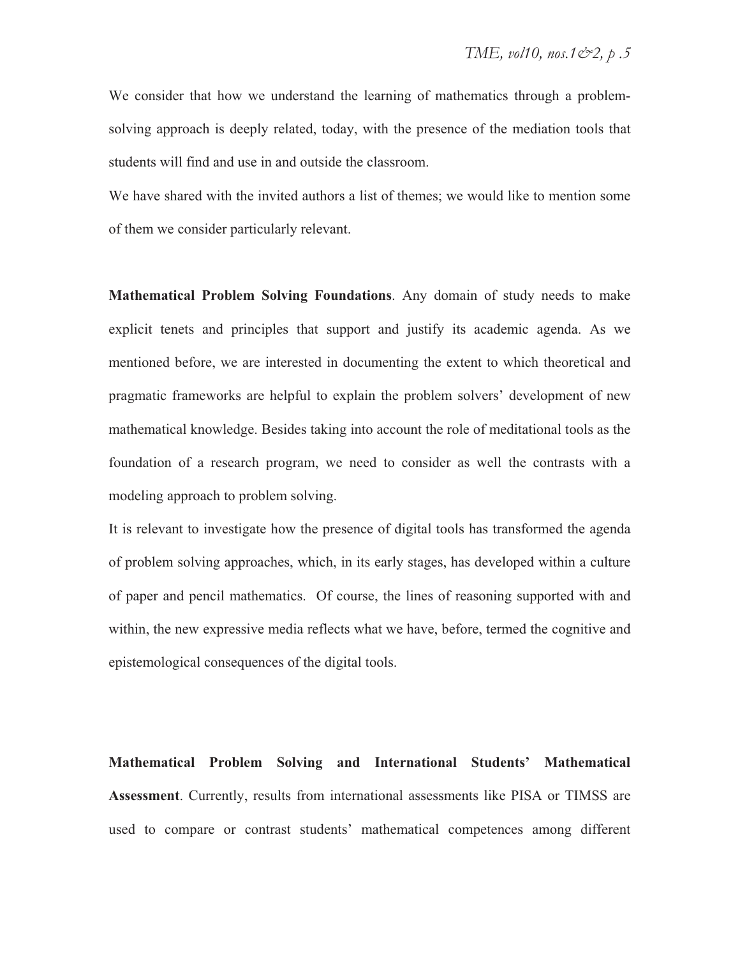We consider that how we understand the learning of mathematics through a problemsolving approach is deeply related, today, with the presence of the mediation tools that students will find and use in and outside the classroom.

We have shared with the invited authors a list of themes; we would like to mention some of them we consider particularly relevant.

**Mathematical Problem Solving Foundations**. Any domain of study needs to make explicit tenets and principles that support and justify its academic agenda. As we mentioned before, we are interested in documenting the extent to which theoretical and pragmatic frameworks are helpful to explain the problem solvers' development of new mathematical knowledge. Besides taking into account the role of meditational tools as the foundation of a research program, we need to consider as well the contrasts with a modeling approach to problem solving.

It is relevant to investigate how the presence of digital tools has transformed the agenda of problem solving approaches, which, in its early stages, has developed within a culture of paper and pencil mathematics. Of course, the lines of reasoning supported with and within, the new expressive media reflects what we have, before, termed the cognitive and epistemological consequences of the digital tools.

**Mathematical Problem Solving and International Students' Mathematical Assessment**. Currently, results from international assessments like PISA or TIMSS are used to compare or contrast students' mathematical competences among different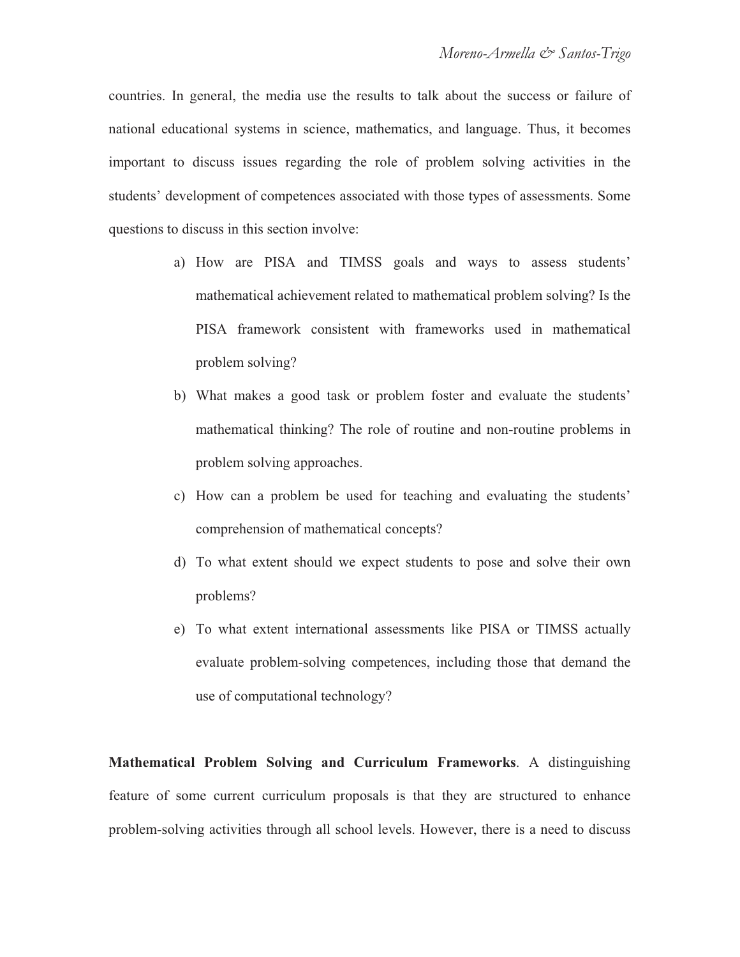countries. In general, the media use the results to talk about the success or failure of national educational systems in science, mathematics, and language. Thus, it becomes important to discuss issues regarding the role of problem solving activities in the students' development of competences associated with those types of assessments. Some questions to discuss in this section involve:

- a) How are PISA and TIMSS goals and ways to assess students' mathematical achievement related to mathematical problem solving? Is the PISA framework consistent with frameworks used in mathematical problem solving?
- b) What makes a good task or problem foster and evaluate the students' mathematical thinking? The role of routine and non-routine problems in problem solving approaches.
- c) How can a problem be used for teaching and evaluating the students' comprehension of mathematical concepts?
- d) To what extent should we expect students to pose and solve their own problems?
- e) To what extent international assessments like PISA or TIMSS actually evaluate problem-solving competences, including those that demand the use of computational technology?

**Mathematical Problem Solving and Curriculum Frameworks**. A distinguishing feature of some current curriculum proposals is that they are structured to enhance problem-solving activities through all school levels. However, there is a need to discuss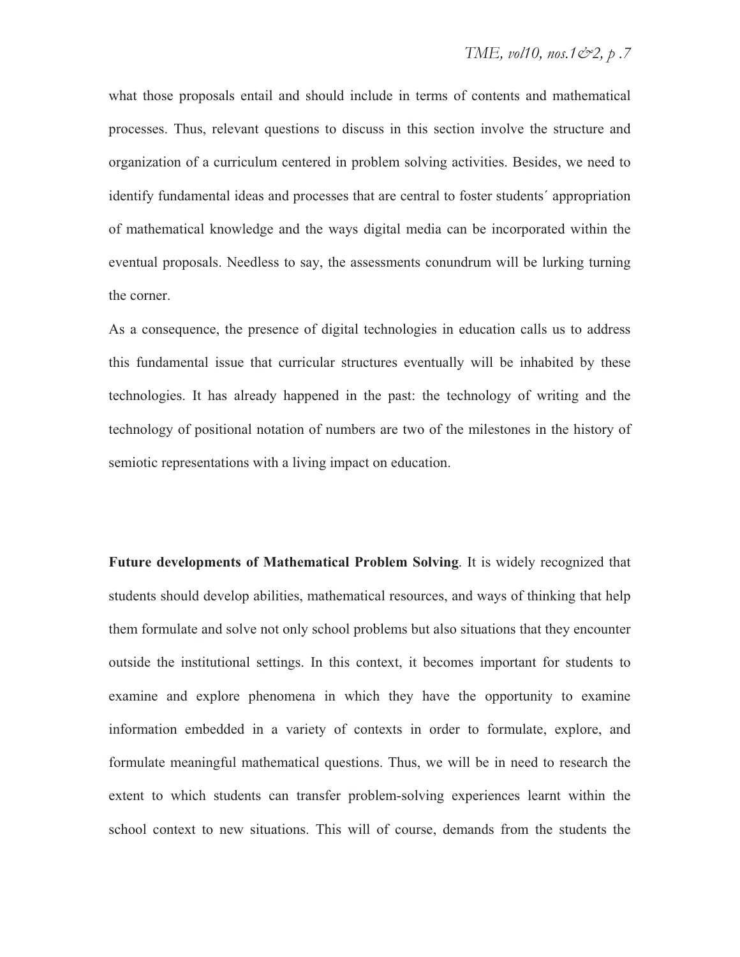what those proposals entail and should include in terms of contents and mathematical processes. Thus, relevant questions to discuss in this section involve the structure and organization of a curriculum centered in problem solving activities. Besides, we need to identify fundamental ideas and processes that are central to foster students´ appropriation of mathematical knowledge and the ways digital media can be incorporated within the eventual proposals. Needless to say, the assessments conundrum will be lurking turning the corner.

As a consequence, the presence of digital technologies in education calls us to address this fundamental issue that curricular structures eventually will be inhabited by these technologies. It has already happened in the past: the technology of writing and the technology of positional notation of numbers are two of the milestones in the history of semiotic representations with a living impact on education.

**Future developments of Mathematical Problem Solving**. It is widely recognized that students should develop abilities, mathematical resources, and ways of thinking that help them formulate and solve not only school problems but also situations that they encounter outside the institutional settings. In this context, it becomes important for students to examine and explore phenomena in which they have the opportunity to examine information embedded in a variety of contexts in order to formulate, explore, and formulate meaningful mathematical questions. Thus, we will be in need to research the extent to which students can transfer problem-solving experiences learnt within the school context to new situations. This will of course, demands from the students the